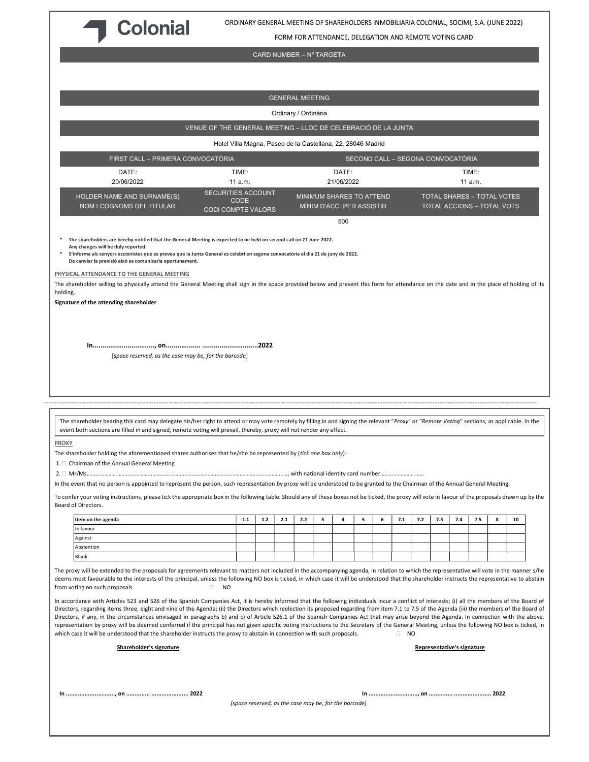

ORDINARY GENERAL MEETING OF SHAREHOLDERS INMOBILIARIA COLONIAL, SOCIMI, S.A. (JUNE 2022)

FORM FOR ATTENDANCE, DELEGATION AND REMOTE VOTING CARD

CARD NUMBER – Nº TARGETA

GENERAL MEETING Ordinary / Ordinària VENUE OF THE GENERAL MEETING – LLOC DE CELEBRACIÓ DE LA JUNTA Hotel Villa Magna, Paseo de la Castellana, 22, 28046 Madrid FIRST CALL – PRIMERA CONVOCATÒRIA SECOND CALL – SEGONA CONVOCATÒRIA DATE: 20/06/2022 TIME: 11 a.m. DATE: 21/06/2022 TIME: 11 a.m. HOLDER NAME AND SURNAME(S) NOM I COGNOMS DEL TITULAR SECURITIES ACCOUNT **CODE** CODI COMPTE VALORS MINIMUM SHARES TO ATTEND MÍNIM D'ACC. PER ASSISTIR TOTAL SHARES – TOTAL VOTES TOTAL ACCIONS – TOTAL VOTS 500 The shareholders are hereby notified that the General Meeting is expected to be held on second call on 21 June 2022. Any changes will be duly reported. \* S'informa als senyors accionistes que es preveu que la Junta General es celebri en segona convocatòria el dia 21 de juny de 2022. De canviar la previsió això es comunicaria oportunament. PHYSICAL ATTENDANCE TO THE GENERAL MEETING The shareholder willing to physically attend the General Meeting shall sign in the space provided below and present this form for attendance on the date and in the place of holding of its holding. Signature of the attending shareholder In................................, on.................. .............................2022 [space reserved, as the case may be, for the barcode] ------------------------------------------------------------------------------------------------------------------------------------------------------------------------------------------------------ The shareholder bearing this card may delegate his/her right to attend or may vote remotely by filling in and signing the relevant "Proxy" or "Remote Voting" sections, as applicable. In the event both sections are filled in and signed, remote voting will prevail, thereby, proxy will not render any effect. PROXY The shareholder holding the aforementioned shares authorises that he/she be represented by (tick one box only):  $1.  $\Box$  Chairman of the Annual General Meeting$ 2. Mr/Ms…………………………………………………………………………………………………………………………, with national identity card number………………………… In the event that no person is appointed to represent the person, such representation by proxy will be understood to be granted to the Chairman of the Annual General Meeting. To confer your voting instructions, please tick the appropriate box in the following table. Should any of these boxes not be ticked, the proxy will vote in favour of the proposals drawn up by the Board of Directors. Item on the agenda 1.1 1.2 2.1 2.2 3 4 5 6 7.1 7.2 7.3 7.4 7.5 8 10 In favour Against Abstention Blank The proxy will be extended to the proposals for agreements relevant to matters not included in the accompanying agenda, in relation to which the representative will vote in the manner s/he deems most favourable to the interests of the principal, unless the following NO box is ticked, in which case it will be understood that the shareholder instructs the representative to abstain from voting on such proposals.  $\Box$  NO In accordance with Articles 523 and 526 of the Spanish Companies Act, it is hereby informed that the following individuals incur a conflict of interests: (i) all the members of the Board of Directors, regarding items three, eight and nine of the Agenda; (ii) the Directors which reelection its proposed regarding from item 7.1 to 7.5 of the Agenda (iii) the members of the Board of Directors, if any, in the circumstances envisaged in paragraphs b) and c) of Article 526.1 of the Spanish Companies Act that may arise beyond the Agenda. In connection with the above, representation by proxy will be deemed conferred if the principal has not given specific voting instructions to the Secretary of the General Meeting, unless the following NO box is ticked, in which case it will be understood that the shareholder instructs the proxy to abstain in connection with such proposals.  $\Box$  NO Shareholder's signature experience of the Shareholder's signature representative's signature In ............................., on .............. ...................... 2022 In ............................., on .............. ...................... 2022 [space reserved, as the case may be, for the barcode]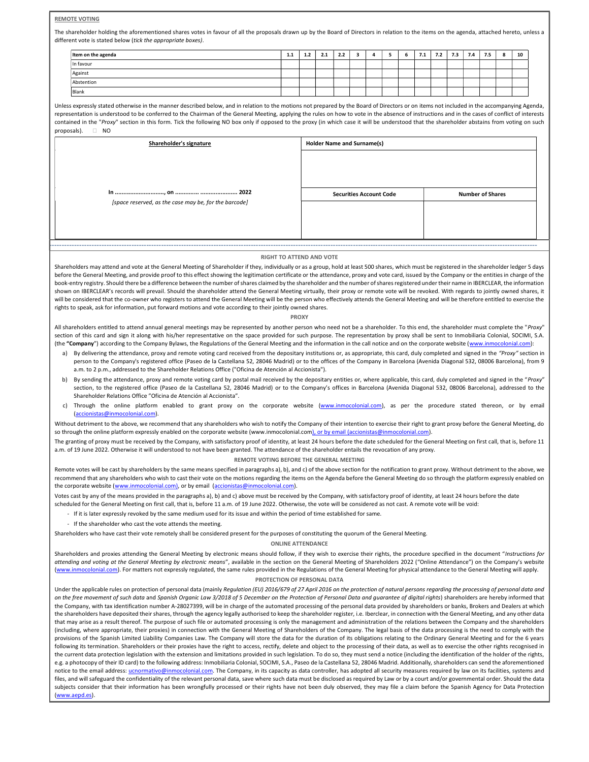## REMOTE VOTING

The shareholder holding the aforementioned shares votes in favour of all the proposals drawn up by the Board of Directors in relation to the items on the agenda, attached hereto, unless a different vote is stated below (tick the appropriate boxes).

| Item on the agenda | 1.1 | 1.2 | $\overline{\phantom{a}}$<br>2.1 | 2.2 |  |  | 7.1 | 7.2 | 7.3 | 7.4 | 7.5 | c<br>o | 10 |
|--------------------|-----|-----|---------------------------------|-----|--|--|-----|-----|-----|-----|-----|--------|----|
| In favour          |     |     |                                 |     |  |  |     |     |     |     |     |        |    |
| Against            |     |     |                                 |     |  |  |     |     |     |     |     |        |    |
| Abstention         |     |     |                                 |     |  |  |     |     |     |     |     |        |    |
| Blank              |     |     |                                 |     |  |  |     |     |     |     |     |        |    |

Unless expressly stated otherwise in the manner described below, and in relation to the motions not prepared by the Board of Directors or on items not included in the accompanying Agenda, representation is understood to be conferred to the Chairman of the General Meeting, applying the rules on how to vote in the absence of instructions and in the cases of conflict of interests contained in the "Proxy" section in this form. Tick the following NO box only if opposed to the proxy (in which case it will be understood that the shareholder abstains from voting on such proposals). NO

| Shareholder's signature                               | <b>Holder Name and Surname(s)</b> |                         |  |  |  |  |
|-------------------------------------------------------|-----------------------------------|-------------------------|--|--|--|--|
|                                                       |                                   |                         |  |  |  |  |
| [space reserved, as the case may be, for the barcode] | <b>Securities Account Code</b>    | <b>Number of Shares</b> |  |  |  |  |

## ------------------------------------------------------------------------------------------------------------------------------------------------------------------------------------------------------- RIGHT TO ATTEND AND VOTE

Shareholders may attend and vote at the General Meeting of Shareholder if they, individually or as a group, hold at least 500 shares, which must be registered in the shareholder ledger 5 days before the General Meeting, and provide proof to this effect showing the legitimation certificate or the attendance, proxy and vote card, issued by the Company or the entities in charge of the book-entry registry. Should there be a difference between the number of shares claimed by the shareholder and the number of shares registered under their name in IBERCLEAR, the information shown on IBERCLEAR's records will prevail. Should the shareholder attend the General Meeting virtually, their proxy or remote vote will be revoked. With regards to jointly owned shares, it will be considered that the co-owner who registers to attend the General Meeting will be the person who effectively attends the General Meeting and will be therefore entitled to exercise the rights to speak, ask for information, put forward motions and vote according to their jointly owned shares.

## PROXY

All shareholders entitled to attend annual general meetings may be represented by another person who need not be a shareholder. To this end, the shareholder must complete the "Proxy" section of this card and sign it along with his/her representative on the space provided for such purpose. The representation by proxy shall be sent to Inmobiliaria Colonial, SOCIMI, S.A. (the "Company") according to the Company Bylaws, the Regulations of the General Meeting and the information in the call notice and on the corporate website (www.inmocolonial.com)

- a) By delivering the attendance, proxy and remote voting card received from the depositary institutions or, as appropriate, this card, duly completed and signed in the "Proxy" section in person to the Company's registered office (Paseo de la Castellana 52, 28046 Madrid) or to the offices of the Company in Barcelona (Avenida Diagonal 532, 08006 Barcelona), from 9 a.m. to 2 p.m., addressed to the Shareholder Relations Office ("Oficina de Atención al Accionista").
- b) By sending the attendance, proxy and remote voting card by postal mail received by the depositary entities or, where applicable, this card, duly completed and signed in the "Proxy" section, to the registered office (Paseo de la Castellana 52, 28046 Madrid) or to the Company's offices in Barcelona (Avenida Diagonal 532, 08006 Barcelona), addressed to the Shareholder Relations Office "Oficina de Atención al Accionista".
- Through the online platform enabled to grant proxy on the corporate website (www.inmocolonial.com), as per the procedure stated thereon, or by email (accionistas@inmocolonial.com).

Without detriment to the above, we recommend that any shareholders who wish to notify the Company of their intention to exercise their right to grant proxy before the General Meeting, do so through the online platform expressly enabled on the corporate website (www.inmocolonial.com), or by email (accionistas@inmocolonial.com).

The granting of proxy must be received by the Company, with satisfactory proof of identity, at least 24 hours before the date scheduled for the General Meeting on first call, that is, before 11 a.m. of 19 June 2022. Otherwise it will understood to not have been granted. The attendance of the shareholder entails the revocation of any proxy.

## REMOTE VOTING BEFORE THE GENERAL MEETING

Remote votes will be cast by shareholders by the same means specified in paragraphs a), b), and c) of the above section for the notification to grant proxy. Without detriment to the above, we recommend that any shareholders who wish to cast their vote on the motions regarding the items on the Agenda before the General Meeting do so through the platform expressly enabled on the corporate website (www.inmocolonial.com), or by email (accionistas@inmocolonial.com).

Votes cast by any of the means provided in the paragraphs a), b) and c) above must be received by the Company, with satisfactory proof of identity, at least 24 hours before the date scheduled for the General Meeting on first call, that is, before 11 a.m. of 19 June 2022. Otherwise, the vote will be considered as not cast. A remote vote will be void:

- If it is later expressly revoked by the same medium used for its issue and within the period of time established for same.
- If the shareholder who cast the vote attends the meeting.

Shareholders who have cast their vote remotely shall be considered present for the purposes of constituting the quorum of the General Meeting.

ONLINE ATTENDANCE

Shareholders and proxies attending the General Meeting by electronic means should follow, if they wish to exercise their rights, the procedure specified in the document "Instructions for attending and voting at the General Meeting by electronic means", available in the section on the General Meeting of Shareholders 2022 ("Online Attendance") on the Company's website (www.inmocolonial.com). For matters not expressly regulated, the same rules provided in the Regulations of the General Meeting for physical attendance to the General Meeting will apply. PROTECTION OF PERSONAL DATA

Under the applicable rules on protection of personal data (mainly Regulation (EU) 2016/679 of 27 April 2016 on the protection of natural persons regarding the processing of personal data and on the free movement of such data and Spanish Organic Law 3/2018 of 5 December on the Protection of Personal Data and quarantee of digital rights) shareholders are hereby informed that the Company, with tax identification number A-28027399, will be in charge of the automated processing of the personal data provided by shareholders or banks, Brokers and Dealers at which the shareholders have deposited their shares, through the agency legally authorised to keep the shareholder register, i.e. Iberclear, in connection with the General Meeting, and any other data that may arise as a result thereof. The purpose of such file or automated processing is only the management and administration of the relations between the Company and the shareholders (including, where appropriate, their proxies) in connection with the General Meeting of Shareholders of the Company. The legal basis of the data processing is the need to comply with the provisions of the Spanish Limited Liability Companies Law. The Company will store the data for the duration of its obligations relating to the Ordinary General Meeting and for the 6 years following its termination. Shareholders or their proxies have the right to access, rectify, delete and object to the processing of their data, as well as to exercise the other rights recognised in the current data protection legislation with the extension and limitations provided in such legislation. To do so, they must send a notice (including the identification of the holder of the rights, e.g. a photocopy of their ID card) to the following address: Inmobiliaria Colonial, SOCIMI, S.A., Paseo de la Castellana 52, 28046 Madrid. Additionally, shareholders can send the aforementioned notice to the email address: ucnormativo@inmocolonial.com. The Company, in its capacity as data controller, has adopted all security measures required by law on its facilities, systems and files, and will safeguard the confidentiality of the relevant personal data, save where such data must be disclosed as required by Law or by a court and/or governmental order. Should the data subjects consider that their information has been wrongfully processed or their rights have not been duly observed, they may file a claim before the Spanish Agency for Data Protection (www.aepd.es).